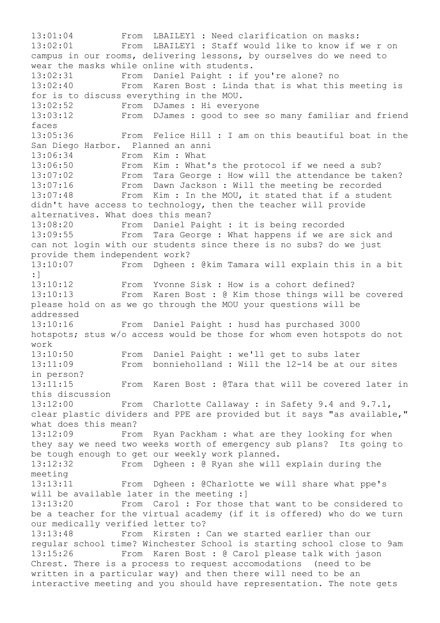13:01:04 From LBAILEY1 : Need clarification on masks: 13:02:01 From LBAILEY1 : Staff would like to know if we r on campus in our rooms, delivering lessons, by ourselves do we need to wear the masks while online with students. 13:02:31 From Daniel Paight : if you're alone? no 13:02:40 From Karen Bost : Linda that is what this meeting is for is to discuss everything in the MOU. 13:02:52 From DJames : Hi everyone 13:03:12 From DJames : good to see so many familiar and friend faces 13:05:36 From Felice Hill : I am on this beautiful boat in the San Diego Harbor. Planned an anni 13:06:34 From Kim : What 13:06:50 From Kim : What's the protocol if we need a sub? 13:07:02 From Tara George : How will the attendance be taken? 13:07:16 From Dawn Jackson : Will the meeting be recorded 13:07:48 From Kim : In the MOU, it stated that if a student didn't have access to technology, then the teacher will provide alternatives. What does this mean? 13:08:20 From Daniel Paight : it is being recorded<br>13:09:55 From Tara George : What happens if we are From Tara George : What happens if we are sick and can not login with our students since there is no subs? do we just provide them independent work? 13:10:07 From Dgheen : @kim Tamara will explain this in a bit :] 13:10:12 From Yvonne Sisk : How is a cohort defined? 13:10:13 From Karen Bost : @ Kim those things will be covered please hold on as we go through the MOU your questions will be addressed 13:10:16 From Daniel Paight : husd has purchased 3000 hotspots; stus w/o access would be those for whom even hotspots do not work 13:10:50 From Daniel Paight : we'll get to subs later 13:11:09 From bonnieholland : Will the 12-14 be at our sites in person? 13:11:15 From Karen Bost : @Tara that will be covered later in this discussion 13:12:00 From Charlotte Callaway : in Safety 9.4 and 9.7.1, clear plastic dividers and PPE are provided but it says "as available," what does this mean? 13:12:09 From Ryan Packham : what are they looking for when they say we need two weeks worth of emergency sub plans? Its going to be tough enough to get our weekly work planned. 13:12:32 From Dgheen : @ Ryan she will explain during the meeting 13:13:11 From Dgheen : @Charlotte we will share what ppe's will be available later in the meeting :] 13:13:20 From Carol : For those that want to be considered to be a teacher for the virtual academy (if it is offered) who do we turn our medically verified letter to? 13:13:48 From Kirsten : Can we started earlier than our regular school time? Winchester School is starting school close to 9am 13:15:26 From Karen Bost : @ Carol please talk with jason Chrest. There is a process to request accomodations (need to be written in a particular way) and then there will need to be an interactive meeting and you should have representation. The note gets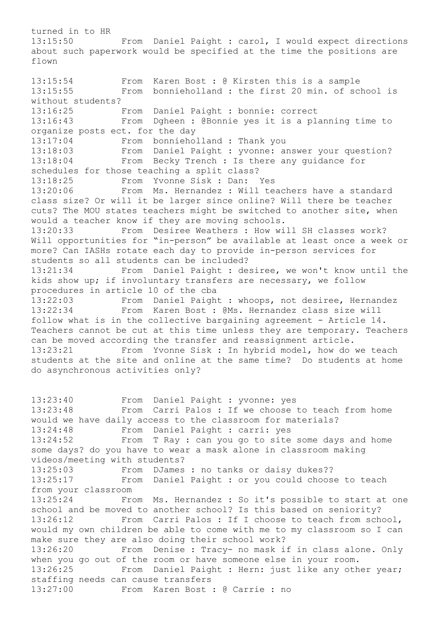turned in to HR 13:15:50 From Daniel Paight : carol, I would expect directions about such paperwork would be specified at the time the positions are flown 13:15:54 From Karen Bost : @ Kirsten this is a sample 13:15:55 From bonnieholland : the first 20 min. of school is without students? 13:16:25 From Daniel Paight : bonnie: correct<br>13:16:43 From Dgheen : @Bonnie yes it is a pla From Dgheen : @Bonnie yes it is a planning time to organize posts ect. for the day 13:17:04 From bonnieholland : Thank you 13:18:03 From Daniel Paight : yvonne: answer your question? 13:18:04 From Becky Trench : Is there any guidance for schedules for those teaching a split class? 13:18:25 From Yvonne Sisk : Dan: Yes<br>13:20:06 From Ms. Hernandez : Will te From Ms. Hernandez : Will teachers have a standard class size? Or will it be larger since online? Will there be teacher cuts? The MOU states teachers might be switched to another site, when would a teacher know if they are moving schools. 13:20:33 From Desiree Weathers : How will SH classes work? Will opportunities for "in-person" be available at least once a week or more? Can IASHs rotate each day to provide in-person services for students so all students can be included? 13:21:34 From Daniel Paight : desiree, we won't know until the kids show up; if involuntary transfers are necessary, we follow procedures in article 10 of the cba 13:22:03 From Daniel Paight : whoops, not desiree, Hernandez<br>13:22:34 From Karen Bost : @Ms. Hernandez class size will From Karen Bost : @Ms. Hernandez class size will follow what is in the collective bargaining agreement - Article 14. Teachers cannot be cut at this time unless they are temporary. Teachers can be moved according the transfer and reassignment article. 13:23:21 From Yvonne Sisk : In hybrid model, how do we teach students at the site and online at the same time? Do students at home do asynchronous activities only? 13:23:40 From Daniel Paight : yvonne: yes<br>13:23:48 From Carri Palos : If we choose From Carri Palos : If we choose to teach from home would we have daily access to the classroom for materials? 13:24:48 From Daniel Paight : carri: yes 13:24:52 From T Ray : can you go to site some days and home some days? do you have to wear a mask alone in classroom making videos/meeting with students? 13:25:03 From DJames : no tanks or daisy dukes?? 13:25:17 From Daniel Paight : or you could choose to teach from your classroom 13:25:24 From Ms. Hernandez : So it's possible to start at one school and be moved to another school? Is this based on seniority? 13:26:12 From Carri Palos : If I choose to teach from school, would my own children be able to come with me to my classroom so I can make sure they are also doing their school work? 13:26:20 From Denise : Tracy- no mask if in class alone. Only when you go out of the room or have someone else in your room.

13:26:25 From Daniel Paight : Hern: just like any other year; staffing needs can cause transfers<br>13:27:00 From Karen Bost :

From Karen Bost : @ Carrie : no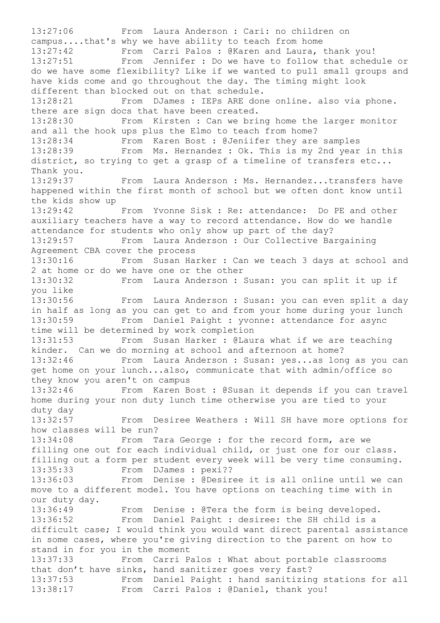13:27:06 From Laura Anderson : Cari: no children on campus....that's why we have ability to teach from home 13:27:42 From Carri Palos : @Karen and Laura, thank you! 13:27:51 From Jennifer : Do we have to follow that schedule or do we have some flexibility? Like if we wanted to pull small groups and have kids come and go throughout the day. The timing might look different than blocked out on that schedule. 13:28:21 From DJames : IEPs ARE done online. also via phone. there are sign docs that have been created. 13:28:30 From Kirsten : Can we bring home the larger monitor and all the hook ups plus the Elmo to teach from home? 13:28:34 From Karen Bost : @Jeniifer they are samples 13:28:39 From Ms. Hernandez : Ok. This is my 2nd year in this district, so trying to get a grasp of a timeline of transfers etc... Thank you. 13:29:37 From Laura Anderson : Ms. Hernandez...transfers have happened within the first month of school but we often dont know until the kids show up 13:29:42 From Yvonne Sisk : Re: attendance: Do PE and other auxiliary teachers have a way to record attendance. How do we handle attendance for students who only show up part of the day? 13:29:57 From Laura Anderson : Our Collective Bargaining Agreement CBA cover the process 13:30:16 From Susan Harker : Can we teach 3 days at school and 2 at home or do we have one or the other 13:30:32 From Laura Anderson : Susan: you can split it up if you like 13:30:56 From Laura Anderson : Susan: you can even split a day in half as long as you can get to and from your home during your lunch 13:30:59 From Daniel Paight : yvonne: attendance for async time will be determined by work completion 13:31:53 From Susan Harker : @Laura what if we are teaching kinder. Can we do morning at school and afternoon at home? 13:32:46 From Laura Anderson : Susan: yes...as long as you can get home on your lunch...also, communicate that with admin/office so they know you aren't on campus 13:32:46 From Karen Bost : @Susan it depends if you can travel home during your non duty lunch time otherwise you are tied to your duty day 13:32:57 From Desiree Weathers : Will SH have more options for how classes will be run? 13:34:08 From Tara George : for the record form, are we filling one out for each individual child, or just one for our class. filling out a form per student every week will be very time consuming. 13:35:33 From DJames : pexi?? 13:36:03 From Denise : @Desiree it is all online until we can move to a different model. You have options on teaching time with in our duty day. 13:36:49 From Denise : @Tera the form is being developed.<br>13:36:52 From Daniel Paight : desiree: the SH child is a From Daniel Paight : desiree: the SH child is a difficult case; I would think you would want direct parental assistance in some cases, where you're giving direction to the parent on how to stand in for you in the moment 13:37:33 From Carri Palos : What about portable classrooms that don't have sinks, hand sanitizer goes very fast? 13:37:53 From Daniel Paight : hand sanitizing stations for all 13:38:17 From Carri Palos : @Daniel, thank you!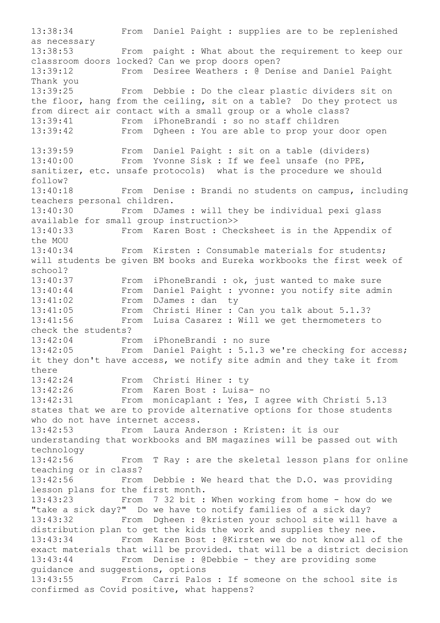13:38:34 From Daniel Paight : supplies are to be replenished as necessary 13:38:53 From paight : What about the requirement to keep our classroom doors locked? Can we prop doors open? 13:39:12 From Desiree Weathers : @ Denise and Daniel Paight Thank you 13:39:25 From Debbie : Do the clear plastic dividers sit on the floor, hang from the ceiling, sit on a table? Do they protect us from direct air contact with a small group or a whole class? 13:39:41 From iPhoneBrandi : so no staff children 13:39:42 From Dgheen : You are able to prop your door open 13:39:59 From Daniel Paight : sit on a table (dividers) 13:40:00 From Yvonne Sisk : If we feel unsafe (no PPE, sanitizer, etc. unsafe protocols) what is the procedure we should follow? 13:40:18 From Denise : Brandi no students on campus, including teachers personal children. 13:40:30 From DJames : will they be individual pexi glass available for small group instruction>> 13:40:33 From Karen Bost : Checksheet is in the Appendix of the MOU 13:40:34 From Kirsten : Consumable materials for students; will students be given BM books and Eureka workbooks the first week of school? 13:40:37 From iPhoneBrandi : ok, just wanted to make sure 13:40:44 From Daniel Paight : yvonne: you notify site admin 13:41:02 From DJames : dan ty 13:41:05 From Christi Hiner : Can you talk about 5.1.3? 13:41:56 From Luisa Casarez : Will we get thermometers to check the students? 13:42:04 From iPhoneBrandi : no sure 13:42:05 From Daniel Paight : 5.1.3 we're checking for access; it they don't have access, we notify site admin and they take it from there 13:42:24 From Christi Hiner : ty 13:42:26 From Karen Bost : Luisa- no 13:42:31 From monicaplant : Yes, I agree with Christi 5.13 states that we are to provide alternative options for those students who do not have internet access. 13:42:53 From Laura Anderson : Kristen: it is our understanding that workbooks and BM magazines will be passed out with technology 13:42:56 From T Ray : are the skeletal lesson plans for online teaching or in class? 13:42:56 From Debbie : We heard that the D.O. was providing lesson plans for the first month. 13:43:23 From 7 32 bit : When working from home - how do we "take a sick day?" Do we have to notify families of a sick day? 13:43:32 From Dgheen : @kristen your school site will have a distribution plan to get the kids the work and supplies they nee. 13:43:34 From Karen Bost : @Kirsten we do not know all of the exact materials that will be provided. that will be a district decision 13:43:44 From Denise : @Debbie - they are providing some guidance and suggestions, options 13:43:55 From Carri Palos : If someone on the school site is confirmed as Covid positive, what happens?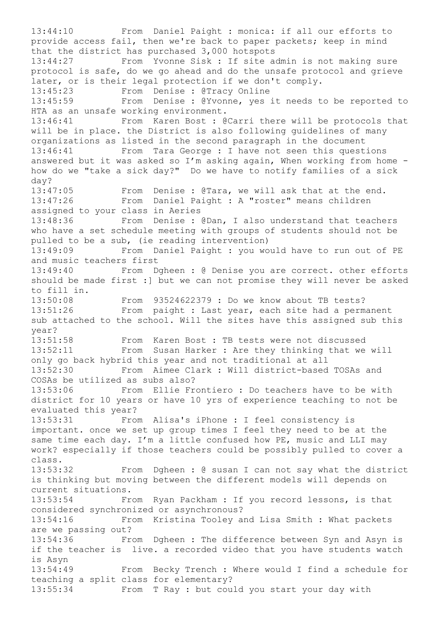13:44:10 From Daniel Paight : monica: if all our efforts to provide access fail, then we're back to paper packets; keep in mind that the district has purchased 3,000 hotspots 13:44:27 From Yvonne Sisk : If site admin is not making sure protocol is safe, do we go ahead and do the unsafe protocol and grieve later, or is their legal protection if we don't comply. 13:45:23 From Denise : @Tracy Online 13:45:59 From Denise : @Yvonne, yes it needs to be reported to HTA as an unsafe working environment. 13:46:41 From Karen Bost : @Carri there will be protocols that will be in place. the District is also following guidelines of many organizations as listed in the second paragraph in the document 13:46:41 From Tara George : I have not seen this questions answered but it was asked so I'm asking again, When working from home how do we "take a sick day?" Do we have to notify families of a sick day?<br>13:47:05 From Denise : @Tara, we will ask that at the end. 13:47:26 From Daniel Paight : A "roster" means children assigned to your class in Aeries 13:48:36 From Denise : @Dan, I also understand that teachers who have a set schedule meeting with groups of students should not be pulled to be a sub, (ie reading intervention) 13:49:09 From Daniel Paight : you would have to run out of PE and music teachers first 13:49:40 From Dgheen : @ Denise you are correct. other efforts should be made first :] but we can not promise they will never be asked to fill in. 13:50:08 From 93524622379 : Do we know about TB tests? 13:51:26 From paight : Last year, each site had a permanent sub attached to the school. Will the sites have this assigned sub this year? 13:51:58 From Karen Bost : TB tests were not discussed 13:52:11 From Susan Harker : Are they thinking that we will only go back hybrid this year and not traditional at all 13:52:30 From Aimee Clark : Will district-based TOSAs and COSAs be utilized as subs also? 13:53:06 From Ellie Frontiero : Do teachers have to be with district for 10 years or have 10 yrs of experience teaching to not be evaluated this year? 13:53:31 From Alisa's iPhone : I feel consistency is important. once we set up group times I feel they need to be at the same time each day. I'm a little confused how PE, music and LLI may work? especially if those teachers could be possibly pulled to cover a class. 13:53:32 From Dgheen : @ susan I can not say what the district is thinking but moving between the different models will depends on current situations. 13:53:54 From Ryan Packham : If you record lessons, is that considered synchronized or asynchronous? 13:54:16 From Kristina Tooley and Lisa Smith : What packets are we passing out? 13:54:36 From Dgheen : The difference between Syn and Asyn is if the teacher is live. a recorded video that you have students watch is Asyn 13:54:49 From Becky Trench : Where would I find a schedule for teaching a split class for elementary? 13:55:34 From T Ray : but could you start your day with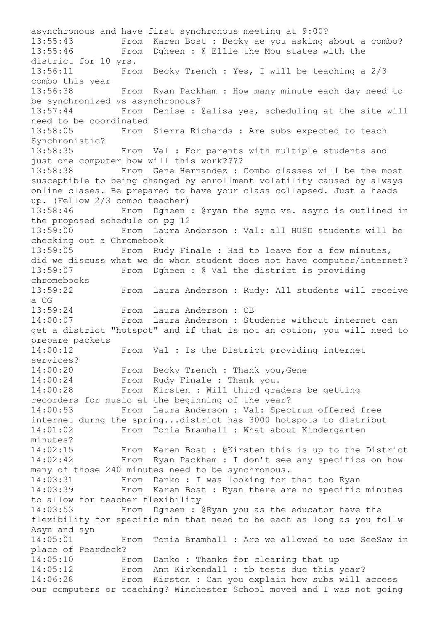asynchronous and have first synchronous meeting at 9:00?<br>13:55:43 From Karen Bost : Becky ae you asking From Karen Bost : Becky ae you asking about a combo? 13:55:46 From Dgheen : @ Ellie the Mou states with the district for 10 yrs. 13:56:11 From Becky Trench : Yes, I will be teaching a 2/3 combo this year 13:56:38 From Ryan Packham : How many minute each day need to be synchronized vs asynchronous? 13:57:44 From Denise : @alisa yes, scheduling at the site will need to be coordinated 13:58:05 From Sierra Richards : Are subs expected to teach Synchronistic? 13:58:35 From Val : For parents with multiple students and just one computer how will this work???? 13:58:38 From Gene Hernandez : Combo classes will be the most susceptible to being changed by enrollment volatility caused by always online clases. Be prepared to have your class collapsed. Just a heads up. (Fellow 2/3 combo teacher) 13:58:46 From Dgheen : @ryan the sync vs. async is outlined in the proposed schedule on pg 12 13:59:00 From Laura Anderson : Val: all HUSD students will be checking out a Chromebook 13:59:05 From Rudy Finale : Had to leave for a few minutes, did we discuss what we do when student does not have computer/internet? 13:59:07 From Dgheen : @ Val the district is providing chromebooks 13:59:22 From Laura Anderson : Rudy: All students will receive a CG 13:59:24 From Laura Anderson : CB 14:00:07 From Laura Anderson : Students without internet can get a district "hotspot" and if that is not an option, you will need to prepare packets 14:00:12 From Val : Is the District providing internet services? 14:00:20 From Becky Trench : Thank you,Gene 14:00:24 From Rudy Finale : Thank you. 14:00:28 From Kirsten : Will third graders be getting recorders for music at the beginning of the year? 14:00:53 From Laura Anderson : Val: Spectrum offered free internet durng the spring...district has 3000 hotspots to distribut 14:01:02 From Tonia Bramhall : What about Kindergarten minutes? 14:02:15 From Karen Bost : @Kirsten this is up to the District 14:02:42 From Ryan Packham : I don't see any specifics on how many of those 240 minutes need to be synchronous. 14:03:31 From Danko : I was looking for that too Ryan 14:03:39 From Karen Bost : Ryan there are no specific minutes to allow for teacher flexibility 14:03:53 From Dgheen : @Ryan you as the educator have the flexibility for specific min that need to be each as long as you follw Asyn and syn 14:05:01 From Tonia Bramhall : Are we allowed to use SeeSaw in place of Peardeck? 14:05:10 From Danko : Thanks for clearing that up<br>14:05:12 From Ann Kirkendall : tb tests due this 14:05:12 From Ann Kirkendall : tb tests due this year?<br>14:06:28 From Kirsten : Can you explain how subs will From Kirsten : Can you explain how subs will access our computers or teaching? Winchester School moved and I was not going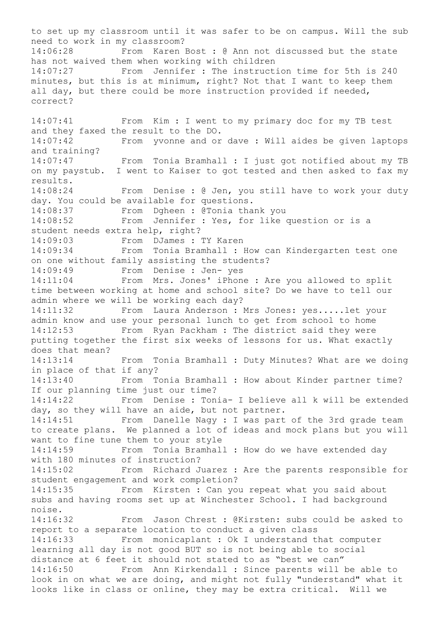to set up my classroom until it was safer to be on campus. Will the sub need to work in my classroom? 14:06:28 From Karen Bost : @ Ann not discussed but the state has not waived them when working with children 14:07:27 From Jennifer : The instruction time for 5th is 240 minutes, but this is at minimum, right? Not that I want to keep them all day, but there could be more instruction provided if needed, correct? 14:07:41 From Kim : I went to my primary doc for my TB test and they faxed the result to the DO. 14:07:42 From yvonne and or dave : Will aides be given laptops and training? 14:07:47 From Tonia Bramhall : I just got notified about my TB on my paystub. I went to Kaiser to got tested and then asked to fax my results. 14:08:24 From Denise : @ Jen, you still have to work your duty day. You could be available for questions. 14:08:37 From Dgheen : @Tonia thank you 14:08:52 From Jennifer : Yes, for like question or is a student needs extra help, right? 14:09:03 From DJames : TY Karen 14:09:34 From Tonia Bramhall : How can Kindergarten test one on one without family assisting the students? 14:09:49 From Denise : Jen- yes 14:11:04 From Mrs. Jones' iPhone : Are you allowed to split time between working at home and school site? Do we have to tell our admin where we will be working each day? 14:11:32 From Laura Anderson : Mrs Jones: yes.....let your admin know and use your personal lunch to get from school to home 14:12:53 From Ryan Packham : The district said they were putting together the first six weeks of lessons for us. What exactly does that mean? 14:13:14 From Tonia Bramhall : Duty Minutes? What are we doing in place of that if any? 14:13:40 From Tonia Bramhall : How about Kinder partner time? If our planning time just our time? 14:14:22 From Denise : Tonia- I believe all k will be extended day, so they will have an aide, but not partner. 14:14:51 From Danelle Nagy : I was part of the 3rd grade team to create plans. We planned a lot of ideas and mock plans but you will want to fine tune them to your style 14:14:59 From Tonia Bramhall : How do we have extended day with 180 minutes of instruction? 14:15:02 From Richard Juarez : Are the parents responsible for student engagement and work completion? 14:15:35 From Kirsten : Can you repeat what you said about subs and having rooms set up at Winchester School. I had background noise. 14:16:32 From Jason Chrest : @Kirsten: subs could be asked to report to a separate location to conduct a given class 14:16:33 From monicaplant : Ok I understand that computer learning all day is not good BUT so is not being able to social distance at 6 feet it should not stated to as "best we can" 14:16:50 From Ann Kirkendall : Since parents will be able to look in on what we are doing, and might not fully "understand" what it looks like in class or online, they may be extra critical. Will we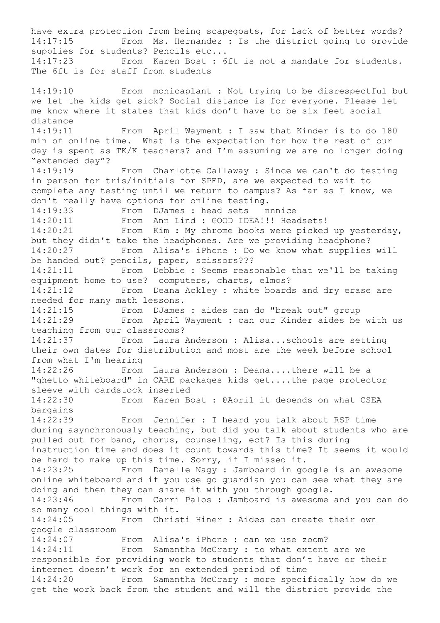have extra protection from being scapegoats, for lack of better words? 14:17:15 From Ms. Hernandez : Is the district going to provide supplies for students? Pencils etc... 14:17:23 From Karen Bost : 6ft is not a mandate for students. The 6ft is for staff from students 14:19:10 From monicaplant : Not trying to be disrespectful but we let the kids get sick? Social distance is for everyone. Please let me know where it states that kids don't have to be six feet social distance 14:19:11 From April Wayment : I saw that Kinder is to do 180 min of online time. What is the expectation for how the rest of our day is spent as TK/K teachers? and I'm assuming we are no longer doing "extended day"? 14:19:19 From Charlotte Callaway : Since we can't do testing in person for tris/initials for SPED, are we expected to wait to complete any testing until we return to campus? As far as I know, we don't really have options for online testing. 14:19:33 From DJames : head sets nnnice<br>14:20:11 From Ann Lind : GOOD IDEA!!! Head From Ann Lind : GOOD IDEA!!! Headsets! 14:20:21 From Kim : My chrome books were picked up yesterday, but they didn't take the headphones. Are we providing headphone? 14:20:27 From Alisa's iPhone : Do we know what supplies will be handed out? pencils, paper, scissors??? 14:21:11 From Debbie : Seems reasonable that we'll be taking equipment home to use? computers, charts, elmos? 14:21:12 From Deana Ackley : white boards and dry erase are needed for many math lessons. 14:21:15 From DJames : aides can do "break out" group<br>14:21:29 From April Wayment : can our Kinder aides be From April Wayment : can our Kinder aides be with us teaching from our classrooms? 14:21:37 From Laura Anderson : Alisa...schools are setting their own dates for distribution and most are the week before school from what I'm hearing 14:22:26 From Laura Anderson : Deana....there will be a "ghetto whiteboard" in CARE packages kids get....the page protector sleeve with cardstock inserted 14:22:30 From Karen Bost : @April it depends on what CSEA bargains 14:22:39 From Jennifer : I heard you talk about RSP time during asynchronously teaching, but did you talk about students who are pulled out for band, chorus, counseling, ect? Is this during instruction time and does it count towards this time? It seems it would be hard to make up this time. Sorry, if I missed it. 14:23:25 From Danelle Nagy : Jamboard in google is an awesome online whiteboard and if you use go guardian you can see what they are doing and then they can share it with you through google. 14:23:46 From Carri Palos : Jamboard is awesome and you can do so many cool things with it. 14:24:05 From Christi Hiner : Aides can create their own google classroom 14:24:07 From Alisa's iPhone : can we use zoom? 14:24:11 From Samantha McCrary : to what extent are we responsible for providing work to students that don't have or their internet doesn't work for an extended period of time 14:24:20 From Samantha McCrary : more specifically how do we get the work back from the student and will the district provide the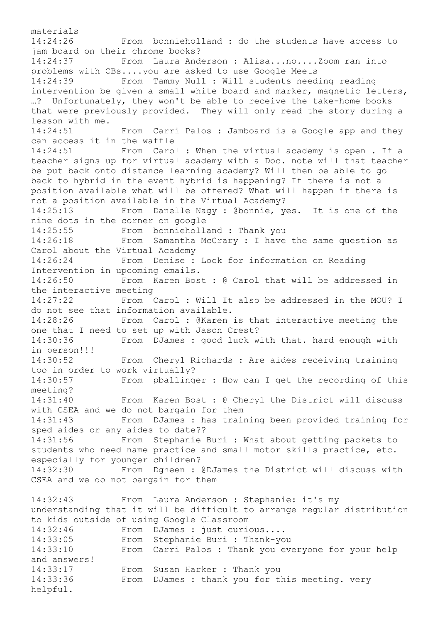materials 14:24:26 From bonnieholland : do the students have access to jam board on their chrome books? 14:24:37 From Laura Anderson : Alisa...no....Zoom ran into problems with CBs....you are asked to use Google Meets 14:24:39 From Tammy Null : Will students needing reading intervention be given a small white board and marker, magnetic letters, …? Unfortunately, they won't be able to receive the take-home books that were previously provided. They will only read the story during a lesson with me. 14:24:51 From Carri Palos : Jamboard is a Google app and they can access it in the waffle 14:24:51 From Carol : When the virtual academy is open . If a teacher signs up for virtual academy with a Doc. note will that teacher be put back onto distance learning academy? Will then be able to go back to hybrid in the event hybrid is happening? If there is not a position available what will be offered? What will happen if there is not a position available in the Virtual Academy? 14:25:13 From Danelle Nagy : @bonnie, yes. It is one of the nine dots in the corner on google 14:25:55 From bonnieholland : Thank you 14:26:18 From Samantha McCrary : I have the same question as Carol about the Virtual Academy 14:26:24 From Denise : Look for information on Reading Intervention in upcoming emails. 14:26:50 From Karen Bost : @ Carol that will be addressed in the interactive meeting 14:27:22 From Carol : Will It also be addressed in the MOU? I do not see that information available. 14:28:26 From Carol : @Karen is that interactive meeting the one that I need to set up with Jason Crest? 14:30:36 From DJames : good luck with that. hard enough with in person!!! 14:30:52 From Cheryl Richards : Are aides receiving training too in order to work virtually? 14:30:57 From pballinger : How can I get the recording of this meeting? 14:31:40 From Karen Bost : @ Cheryl the District will discuss with CSEA and we do not bargain for them 14:31:43 From DJames : has training been provided training for sped aides or any aides to date?? 14:31:56 From Stephanie Buri : What about getting packets to students who need name practice and small motor skills practice, etc. especially for younger children? 14:32:30 From Dgheen : @DJames the District will discuss with CSEA and we do not bargain for them 14:32:43 From Laura Anderson : Stephanie: it's my understanding that it will be difficult to arrange regular distribution to kids outside of using Google Classroom 14:32:46 From DJames : just curious.... 14:33:05 From Stephanie Buri : Thank-you 14:33:10 From Carri Palos : Thank you everyone for your help and answers! 14:33:17 From Susan Harker : Thank you 14:33:36 From DJames : thank you for this meeting. very helpful.